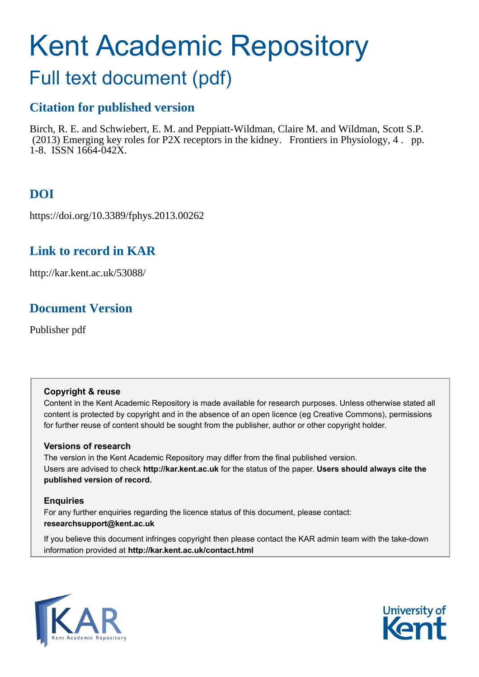# Kent Academic Repository

# Full text document (pdf)

# **Citation for published version**

Birch, R. E. and Schwiebert, E. M. and Peppiatt-Wildman, Claire M. and Wildman, Scott S.P. (2013) Emerging key roles for P2X receptors in the kidney. Frontiers in Physiology, 4 . pp. 1-8. ISSN 1664-042X.

# **DOI**

https://doi.org/10.3389/fphys.2013.00262

# **Link to record in KAR**

http://kar.kent.ac.uk/53088/

# **Document Version**

Publisher pdf

# **Copyright & reuse**

Content in the Kent Academic Repository is made available for research purposes. Unless otherwise stated all content is protected by copyright and in the absence of an open licence (eg Creative Commons), permissions for further reuse of content should be sought from the publisher, author or other copyright holder.

# **Versions of research**

The version in the Kent Academic Repository may differ from the final published version. Users are advised to check **http://kar.kent.ac.uk** for the status of the paper. **Users should always cite the published version of record.**

# **Enquiries**

For any further enquiries regarding the licence status of this document, please contact: **researchsupport@kent.ac.uk**

If you believe this document infringes copyright then please contact the KAR admin team with the take-down information provided at **http://kar.kent.ac.uk/contact.html**



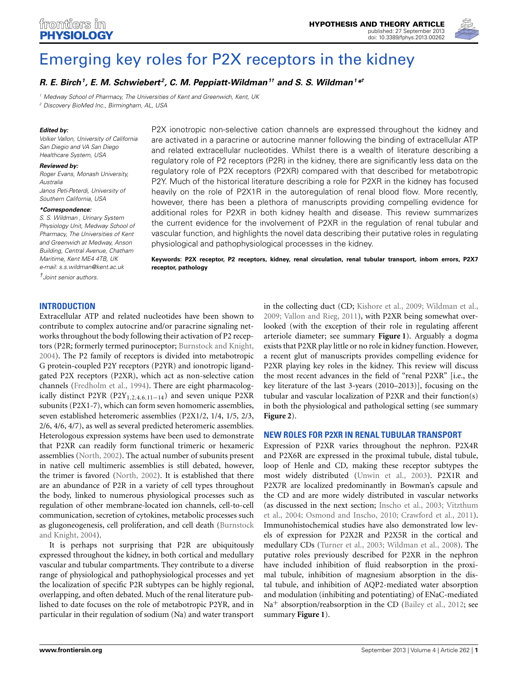

# [Emerging key roles for P2X receptors in the kidney](http://www.frontiersin.org/Renal_and_Epithelial_Physiology/10.3389/fphys.2013.00262/abstract)

#### *[R. E. Birch](http://community.frontiersin.org/people/RebeccaBirch/96330)<sup>1</sup> , E. M. Schwiebert <sup>2</sup> , [C. M. Peppiatt-Wildman](http://community.frontiersin.org/people/ClairePeppiatt-Wildman/106335)1† and [S. S. Wildman](http://www.frontiersin.org/Community/WhosWhoActivity.aspx?sname=ScottWildman&UID=76743)<sup>1</sup>\* †*

*<sup>1</sup> Medway School of Pharmacy, The Universities of Kent and Greenwich, Kent, UK*

*<sup>2</sup> Discovery BioMed Inc., Birmingham, AL, USA*

#### *Edited by:*

*Volker Vallon, University of California San Diegio and VA San Diego Healthcare System, USA*

#### *Reviewed by:*

*Roger Evans, Monash University, Australia Janos Peti-Peterdi, University of*

*Southern California, USA*

#### *\*Correspondence:*

*S. S. Wildman , Urinary System Physiology Unit, Medway School of Pharmacy, The Universities of Kent and Greenwich at Medway, Anson Building, Central Avenue, Chatham Maritime, Kent ME4 4TB, UK e-mail: [s.s.wildman@kent.ac.uk](mailto:s.s.wildman@kent.ac.uk)*

*†Joint senior authors.*

P2X ionotropic non-selective cation channels are expressed throughout the kidney and are activated in a paracrine or autocrine manner following the binding of extracellular ATP and related extracellular nucleotides. Whilst there is a wealth of literature describing a regulatory role of P2 receptors (P2R) in the kidney, there are significantly less data on the regulatory role of P2X receptors (P2XR) compared with that described for metabotropic P2Y. Much of the historical literature describing a role for P2XR in the kidney has focused heavily on the role of P2X1R in the autoregulation of renal blood flow. More recently, however, there has been a plethora of manuscripts providing compelling evidence for additional roles for P2XR in both kidney health and disease. This review summarizes the current evidence for the involvement of P2XR in the regulation of renal tubular and vascular function, and highlights the novel data describing their putative roles in regulating physiological and pathophysiological processes in the kidney.

**Keywords: P2X receptor, P2 receptors, kidney, renal circulation, renal tubular transport, inborn errors, P2X7 receptor, pathology**

#### **INTRODUCTION**

<span id="page-1-0"></span>Extracellular ATP and related nucleotides have been shown to contribute to complex autocrine and/or paracrine signaling networks throughout the body following their activation of P2 receptors (P2R; formerly termed purinoceptor; [Burnstock and Knight,](#page-6-0) [2004](#page-6-0)). The P2 family of receptors is divided into metabotropic G protein-coupled P2Y receptors (P2YR) and ionotropic ligandgated P2X receptors (P2XR), which act as non-selective cation channels [\(Fredholm et al.](#page-6-1), [1994\)](#page-6-1). There are eight pharmacologically distinct P2YR (P2Y<sub>1,2,4,6,11–14</sub>) and seven unique P2XR subunits (P2X1-7), which can form seven homomeric assemblies, seven established heteromeric assemblies (P2X1/2, 1/4, 1/5, 2/3, 2/6, 4/6, 4/7), as well as several predicted heteromeric assemblies. Heterologous expression systems have been used to demonstrate that P2XR can readily form functional trimeric or hexameric assemblies [\(North](#page-6-2), [2002\)](#page-6-2). The actual number of subunits present in native cell multimeric assemblies is still debated, however, the trimer is favored [\(North, 2002\)](#page-6-2). It is established that there are an abundance of P2R in a variety of cell types throughout the body, linked to numerous physiological processes such as regulation of other membrane-located ion channels, cell-to-cell communication, secretion of cytokines, metabolic processes such as glugone[ogenesis, cell proliferation, and cell death \(](#page-6-0)Burnstock and Knight, [2004\)](#page-6-0).

It is perhaps not surprising that P2R are ubiquitously expressed throughout the kidney, in both cortical and medullary vascular and tubular compartments. They contribute to a diverse range of physiological and pathophysiological processes and yet the localization of specific P2R subtypes can be highly regional, overlapping, and often debated. Much of the renal literature published to date focuses on the role of metabotropic P2YR, and in particular in their regulation of sodium (Na) and water transport

in the collecting duct (CD; [Kishore et al.](#page-6-3), [2009;](#page-6-3) [Wildman et al.,](#page-7-0) [2009](#page-7-0); [Vallon and Rieg, 2011](#page-7-1)), with P2XR being somewhat overlooked (with the exception of their role in regulating afferent arteriole diameter; see summary **[Figure 1](#page-1-0)**). Arguably a dogma exists that P2XR play little or no role in kidney function. However, a recent glut of manuscripts provides compelling evidence for P2XR playing key roles in the kidney. This review will discuss the most recent advances in the field of "renal P2XR" [i.e., the key literature of the last 3-years (2010–2013)], focusing on the tubular and vascular localization of P2XR and their function(s) in both the physiological and pathological setting (see summary **[Figure 2](#page-2-0)**).

#### **NEW ROLES FOR P2XR IN RENAL TUBULAR TRANSPORT**

Expression of P2XR varies throughout the nephron. P2X4R and P2X6R are expressed in the proximal tubule, distal tubule, loop of Henle and CD, making these receptor subtypes the most widely distributed [\(Unwin et al.](#page-7-2), [2003\)](#page-7-2). P2X1R and P2X7R are localized predominantly in Bowman's capsule and the CD and are more widely distributed in vascular networks (as [discussed in the next section;](#page-7-3) [Inscho et al., 2003;](#page-6-4) Vitzthum et al., [2004](#page-7-3); [Osmond and Inscho, 2010;](#page-6-5) [Crawford et al.](#page-6-6), [2011](#page-6-6)). Immunohistochemical studies have also demonstrated low levels of expression for P2X2R and P2X5R in the cortical and medullary CDs [\(Turner et al.](#page-7-4), [2003;](#page-7-4) [Wildman et al., 2008](#page-7-5)). The putative roles previously described for P2XR in the nephron have included inhibition of fluid reabsorption in the proximal tubule, inhibition of magnesium absorption in the distal tubule, and inhibition of AQP2-mediated water absorption and modulation (inhibiting and potentiating) of ENaC-mediated Na<sup>+</sup> absorption/reabsorption in the CD [\(Bailey et al., 2012](#page-6-7); see summary **[Figure 1](#page-1-0)**).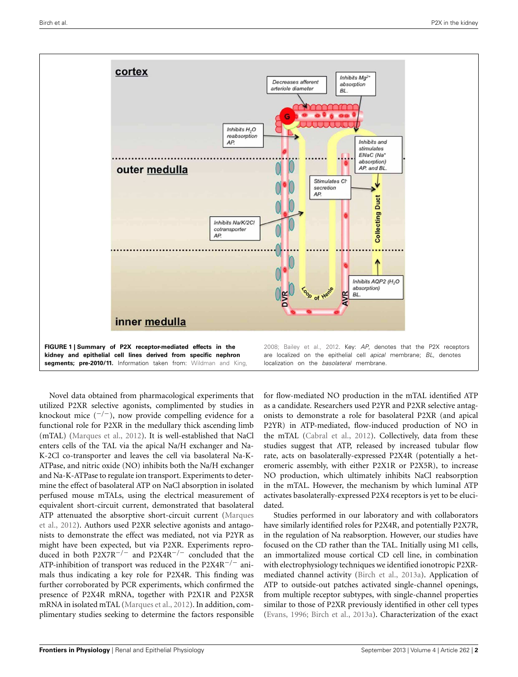

<span id="page-2-0"></span>Novel data obtained from pharmacological experiments that utilized P2XR selective agonists, complimented by studies in knockout mice  $($ <sup>-/-</sup>), now provide compelling evidence for a functional role for P2XR in the medullary thick ascending limb (mTAL) [\(Marques et al., 2012](#page-6-8)). It is well-established that NaCl enters cells of the TAL via the apical Na/H exchanger and Na-K-2Cl co-transporter and leaves the cell via basolateral Na-K-ATPase, and nitric oxide (NO) inhibits both the Na/H exchanger and Na-K-ATPase to regulate ion transport. Experiments to determine the effect of basolateral ATP on NaCl absorption in isolated perfused mouse mTALs, using the electrical measurement of equivalent short-circuit current, demonstrated that basolateral ATP [attenuated the absorptive short-circuit current \(](#page-6-8)Marques et al., [2012\)](#page-6-8). Authors used P2XR selective agonists and antagonists to demonstrate the effect was mediated, not via P2YR as might have been expected, but via P2XR. Experiments reproduced in both P2X7R<sup>-/-</sup> and P2X4R<sup>-/-</sup> concluded that the ATP-inhibition of transport was reduced in the P2X4R−/<sup>−</sup> animals thus indicating a key role for P2X4R. This finding was further corroborated by PCR experiments, which confirmed the presence of P2X4R mRNA, together with P2X1R and P2X5R mRNA in isolated mTAL [\(Marques et al., 2012\)](#page-6-8). In addition, complimentary studies seeking to determine the factors responsible

for flow-mediated NO production in the mTAL identified ATP as a candidate. Researchers used P2YR and P2XR selective antagonists to demonstrate a role for basolateral P2XR (and apical P2YR) in ATP-mediated, flow-induced production of NO in the mTAL [\(Cabral et al.](#page-6-9), [2012](#page-6-9)). Collectively, data from these studies suggest that ATP, released by increased tubular flow rate, acts on basolaterally-expressed P2X4R (potentially a heteromeric assembly, with either P2X1R or P2X5R), to increase NO production, which ultimately inhibits NaCl reabsorption in the mTAL. However, the mechanism by which luminal ATP activates basolaterally-expressed P2X4 receptors is yet to be elucidated.

Studies performed in our laboratory and with collaborators have similarly identified roles for P2X4R, and potentially P2X7R, in the regulation of Na reabsorption. However, our studies have focused on the CD rather than the TAL. Initially using M1 cells, an immortalized mouse cortical CD cell line, in combination with electrophysiology techniques we identified ionotropic P2XRmediated channel activity [\(Birch et al.](#page-6-10), [2013a\)](#page-6-10). Application of ATP to outside-out patches activated single-channel openings, from multiple receptor subtypes, with single-channel properties similar to those of P2XR previously identified in other cell types [\(Evans, 1996](#page-6-11); [Birch et al.](#page-6-10), [2013a](#page-6-10)). Characterization of the exact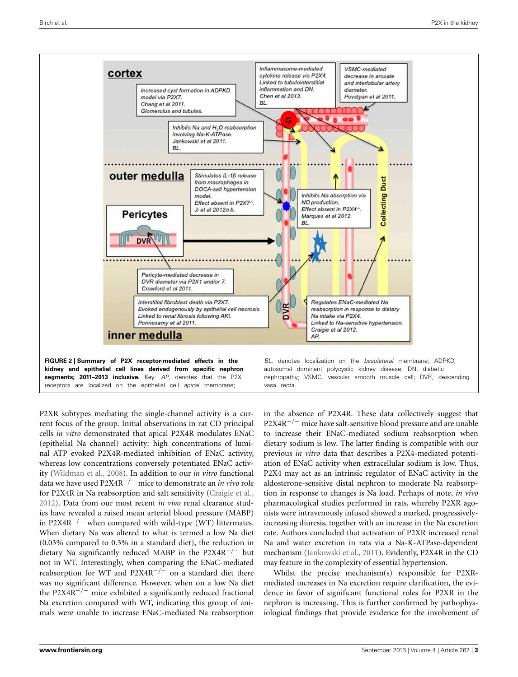

P2XR subtypes mediating the single-channel activity is a current focus of the group. Initial observations in rat CD principal cells *in vitro* demonstrated that apical P2X4R modulates ENaC (epithelial Na channel) activity: high concentrations of luminal ATP evoked P2X4R-mediated inhibition of ENaC activity, whereas low concentrations conversely potentiated ENaC activity [\(Wildman et al.](#page-7-5), [2008](#page-7-5)). In addition to our *in vitro* functional data we have used P2X4R−/<sup>−</sup> mice to demonstrate an *in vivo* role for P2X4R in Na reabsorption and salt sensitivity [\(Craigie et al.,](#page-6-12) [2012](#page-6-12)). Data from our most recent *in vivo* renal clearance studies have revealed a raised mean arterial blood pressure (MABP) in P2X4R<sup> $-/-$ </sup> when compared with wild-type (WT) littermates. When dietary Na was altered to what is termed a low Na diet (0.03% compared to 0.3% in a standard diet), the reduction in dietary Na significantly reduced MABP in the P2X4R<sup> $-/-$ </sup> but not in WT. Interestingly, when comparing the ENaC-mediated reabsorption for WT and P2X4R<sup>-/-</sup> on a standard diet there was no significant difference. However, when on a low Na diet the P2X4R<sup> $-/-$ </sup> mice exhibited a significantly reduced fractional Na excretion compared with WT, indicating this group of animals were unable to increase ENaC-mediated Na reabsorption

in the absence of P2X4R. These data collectively suggest that P2X4R<sup>-/-</sup> mice have salt-sensitive blood pressure and are unable to increase their ENaC-mediated sodium reabsorption when dietary sodium is low. The latter finding is compatible with our previous *in vitro* data that describes a P2X4-mediated potentiation of ENaC activity when extracellular sodium is low. Thus, P2X4 may act as an intrinsic regulator of ENaC activity in the aldosterone-sensitive distal nephron to moderate Na reabsorption in response to changes is Na load. Perhaps of note, *in vivo* pharmacological studies performed in rats, whereby P2XR agonists were intravenously infused showed a marked, progressivelyincreasing diuresis, together with an increase in the Na excretion rate. Authors concluded that activation of P2XR increased renal Na and water excretion in rats via a Na-K-ATPase-dependent mechanism [\(Jankowski et al.](#page-6-13), [2011](#page-6-13)). Evidently, P2X4R in the CD may feature in the complexity of essential hypertension.

Whilst the precise mechanism(s) responsible for P2XRmediated increases in Na excretion require clarification, the evidence in favor of significant functional roles for P2XR in the nephron is increasing. This is further confirmed by pathophysiological findings that provide evidence for the involvement of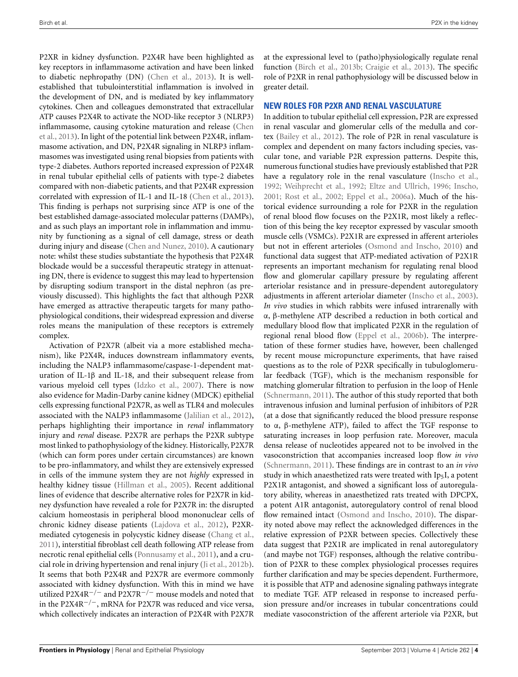P2XR in kidney dysfunction. P2X4R have been highlighted as key receptors in inflammasome activation and have been linked to diabetic nephropathy (DN) [\(Chen et al., 2013\)](#page-6-14). It is wellestablished that tubulointerstitial inflammation is involved in the development of DN, and is mediated by key inflammatory cytokines. Chen and colleagues demonstrated that extracellular ATP causes P2X4R to activate the NOD-like receptor 3 (NLRP3) infla[mmasome, causing cytokine maturation and release \(](#page-6-14)Chen et al., [2013](#page-6-14)). In light of the potential link between P2X4R, inflammasome activation, and DN, P2X4R signaling in NLRP3 inflammasomes was investigated using renal biopsies from patients with type-2 diabetes. Authors reported increased expression of P2X4R in renal tubular epithelial cells of patients with type-2 diabetes compared with non-diabetic patients, and that P2X4R expression correlated with expression of IL-1 and IL-18 [\(Chen et al., 2013](#page-6-14)). This finding is perhaps not surprising since ATP is one of the best established damage-associated molecular patterns (DAMPs), and as such plays an important role in inflammation and immunity by functioning as a signal of cell damage, stress or death during injury and disease [\(Chen and Nunez, 2010](#page-6-15)). A cautionary note: whilst these studies substantiate the hypothesis that P2X4R blockade would be a successful therapeutic strategy in attenuating DN, there is evidence to suggest this may lead to hypertension by disrupting sodium transport in the distal nephron (as previously discussed). This highlights the fact that although P2XR have emerged as attractive therapeutic targets for many pathophysiological conditions, their widespread expression and diverse roles means the manipulation of these receptors is extremely complex.

Activation of P2X7R (albeit via a more established mechanism), like P2X4R, induces downstream inflammatory events, including the NALP3 inflammasome/caspase-1-dependent maturation of IL-1β and IL-18, and their subsequent release from various myeloid cell types [\(Idzko et al.](#page-6-16), [2007](#page-6-16)). There is now also evidence for Madin-Darby canine kidney (MDCK) epithelial cells expressing functional P2X7R, as well as TLR4 and molecules associated with the NALP3 inflammasome [\(Jalilian et al., 2012](#page-6-17)), perhaps highlighting their importance in *renal* inflammatory injury and *renal* disease. P2X7R are perhaps the P2XR subtype most linked to pathophysiology of the kidney. Historically, P2X7R (which can form pores under certain circumstances) are known to be pro-inflammatory, and whilst they are extensively expressed in cells of the immune system they are not *highly* expressed in healthy kidney tissue [\(Hillman et al., 2005\)](#page-6-18). Recent additional lines of evidence that describe alternative roles for P2X7R in kidney dysfunction have revealed a role for P2X7R in: the disrupted calcium homeostasis in peripheral blood mononuclear cells of chronic kidney disease patients [\(Lajdova et al., 2012\)](#page-6-19), P2XRmediated cytogenesis in polycystic kidney disease [\(Chang et al.](#page-6-20), [2011](#page-6-20)), interstitial fibroblast cell death following ATP release from necrotic renal epithelial cells [\(Ponnusamy et al., 2011](#page-6-21)), and a crucial role in driving hypertension and renal injury [\(Ji et al., 2012b](#page-6-22)). It seems that both P2X4R and P2X7R are evermore commonly associated with kidney dysfunction. With this in mind we have utilized P2X4R−/<sup>−</sup> and P2X7R−/<sup>−</sup> mouse models and noted that in the P2X4R−/−, mRNA for P2X7R was reduced and vice versa, which collectively indicates an interaction of P2X4R with P2X7R

at the expressional level to (patho)physiologically regulate renal function [\(Birch et al., 2013b;](#page-6-23) [Craigie et al.](#page-6-24), [2013](#page-6-24)). The specific role of P2XR in renal pathophysiology will be discussed below in greater detail.

#### **NEW ROLES FOR P2XR AND RENAL VASCULATURE**

In addition to tubular epithelial cell expression, P2R are expressed in renal vascular and glomerular cells of the medulla and cortex [\(Bailey et al.](#page-6-7), [2012\)](#page-6-7). The role of P2R in renal vasculature is complex and dependent on many factors including species, vascular tone, and variable P2R expression patterns. Despite this, numerous functional studies have previously established that P2R have a regulatory role in the renal vasculature [\(Inscho et al.](#page-6-25), [1992](#page-6-25); [Weihprecht et al.](#page-7-7), [1992;](#page-7-7) [Eltze and Ullrich, 1996;](#page-6-26) [Inscho](#page-6-27), [2001](#page-6-27); [Rost et al., 2002](#page-7-8); [Eppel et al., 2006a](#page-6-28)). Much of the historical evidence surrounding a role for P2XR in the regulation of renal blood flow focuses on the P2X1R, most likely a reflection of this being the key receptor expressed by vascular smooth muscle cells (VSMCs). P2X1R are expressed in afferent arterioles but not in efferent arterioles [\(Osmond and Inscho, 2010](#page-6-5)) and functional data suggest that ATP-mediated activation of P2X1R represents an important mechanism for regulating renal blood flow and glomerular capillary pressure by regulating afferent arteriolar resistance and in pressure-dependent autoregulatory adjustments in afferent arteriolar diameter [\(Inscho et al., 2003\)](#page-6-4). *In vivo* studies in which rabbits were infused intrarenally with α, β-methylene ATP described a reduction in both cortical and medullary blood flow that implicated P2XR in the regulation of regional renal blood flow [\(Eppel et al.](#page-6-29), [2006b\)](#page-6-29). The interpretation of these former studies have, however, been challenged by recent mouse micropuncture experiments, that have raised questions as to the role of P2XR specifically in tubuloglomerular feedback (TGF), which is the mechanism responsible for matching glomerular filtration to perfusion in the loop of Henle [\(Schnermann](#page-7-9), [2011\)](#page-7-9). The author of this study reported that both intravenous infusion and luminal perfusion of inhibitors of P2R (at a dose that significantly reduced the blood pressure response to α, β-methylene ATP), failed to affect the TGF response to saturating increases in loop perfusion rate. Moreover, macula densa release of nucleotides appeared not to be involved in the vasoconstriction that accompanies increased loop flow *in vivo* [\(Schnermann](#page-7-9), [2011](#page-7-9)). These findings are in contrast to an *in vivo* study in which anaesthetized rats were treated with  $Ip<sub>5</sub>I$ , a potent P2X1R antagonist, and showed a significant loss of autoregulatory ability, whereas in anaesthetized rats treated with DPCPX, a potent A1R antagonist, autoregulatory control of renal blood flow remained intact [\(Osmond and Inscho](#page-6-5), [2010](#page-6-5)). The disparity noted above may reflect the acknowledged differences in the relative expression of P2XR between species. Collectively these data suggest that P2X1R are implicated in renal autoregulatory (and maybe not TGF) responses, although the relative contribution of P2XR to these complex physiological processes requires further clarification and may be species dependent. Furthermore, it is possible that ATP and adenosine signaling pathways integrate to mediate TGF. ATP released in response to increased perfusion pressure and/or increases in tubular concentrations could mediate vasoconstriction of the afferent arteriole via P2XR, but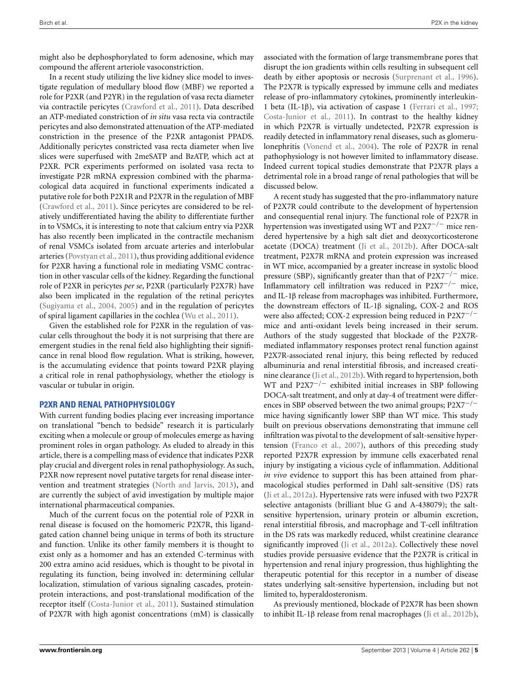might also be dephosphorylated to form adenosine, which may compound the afferent arteriole vasoconstriction.

In a recent study utilizing the live kidney slice model to investigate regulation of medullary blood flow (MBF) we reported a role for P2XR (and P2YR) in the regulation of vasa recta diameter via contractile pericytes [\(Crawford et al., 2011](#page-6-6)). Data described an ATP-mediated constriction of *in situ* vasa recta via contractile pericytes and also demonstrated attenuation of the ATP-mediated constriction in the presence of the P2XR antagonist PPADS. Additionally pericytes constricted vasa recta diameter when live slices were superfused with 2meSATP and BzATP, which act at P2XR. PCR experiments performed on isolated vasa recta to investigate P2R mRNA expression combined with the pharmacological data acquired in functional experiments indicated a putative role for both P2X1R and P2X7R in the regulation of MBF [\(Crawford et al.](#page-6-6), [2011\)](#page-6-6). Since pericytes are considered to be relatively undifferentiated having the ability to differentiate further in to VSMCs, it is interesting to note that calcium entry via P2XR has also recently been implicated in the contractile mechanism of renal VSMCs isolated from arcuate arteries and interlobular arteries [\(Povstyan et al., 2011\)](#page-6-30), thus providing additional evidence for P2XR having a functional role in mediating VSMC contraction in other vascular cells of the kidney. Regarding the functional role of P2XR in pericytes *per se*, P2XR (particularly P2X7R) have also been implicated in the regulation of the retinal pericytes [\(Sugiyama et al., 2004](#page-7-10), [2005\)](#page-7-11) and in the regulation of pericytes of spiral ligament capillaries in the cochlea [\(Wu et al., 2011](#page-7-12)).

Given the established role for P2XR in the regulation of vascular cells throughout the body it is not surprising that there are emergent studies in the renal field also highlighting their significance in renal blood flow regulation. What is striking, however, is the accumulating evidence that points toward P2XR playing a critical role in renal pathophysiology, whether the etiology is vascular or tubular in origin.

#### **P2XR AND RENAL PATHOPHYSIOLOGY**

With current funding bodies placing ever increasing importance on translational "bench to bedside" research it is particularly exciting when a molecule or group of molecules emerge as having prominent roles in organ pathology. As eluded to already in this article, there is a compelling mass of evidence that indicates P2XR play crucial and divergent roles in renal pathophysiology. As such, P2XR now represent novel putative targets for renal disease intervention and treatment strategies [\(North and Jarvis](#page-6-31), [2013](#page-6-31)), and are currently the subject of avid investigation by multiple major international pharmaceutical companies.

Much of the current focus on the potential role of P2XR in renal disease is focused on the homomeric P2X7R, this ligandgated cation channel being unique in terms of both its structure and function. Unlike its other family members it is thought to exist only as a homomer and has an extended C-terminus with 200 extra amino acid residues, which is thought to be pivotal in regulating its function, being involved in: determining cellular localization, stimulation of various signaling cascades, proteinprotein interactions, and post-translational modification of the receptor itself [\(Costa-Junior et al., 2011](#page-6-32)). Sustained stimulation of P2X7R with high agonist concentrations (mM) is classically associated with the formation of large transmembrane pores that disrupt the ion gradients within cells resulting in subsequent cell death by either apoptosis or necrosis [\(Surprenant et al.](#page-7-13), [1996](#page-7-13)). The P2X7R is typically expressed by immune cells and mediates release of pro-inflammatory cytokines, prominently interleukin-1 beta (IL-1β), via activation of caspase 1 [\(Ferrari et al.](#page-6-33), [1997;](#page-6-33) [Costa-Junior et al., 2011\)](#page-6-32). In contrast to the healthy kidney in which P2X7R is virtually undetected, P2X7R expression is readily detected in inflammatory renal diseases, such as glomerulonephritis [\(Vonend et al.](#page-7-14), [2004\)](#page-7-14). The role of P2X7R in renal pathophysiology is not however limited to inflammatory disease. Indeed current topical studies demonstrate that P2X7R plays a detrimental role in a broad range of renal pathologies that will be discussed below.

A recent study has suggested that the pro-inflammatory nature of P2X7R could contribute to the development of hypertension and consequential renal injury. The functional role of P2X7R in hypertension was investigated using WT and P2X7<sup>-/-</sup> mice rendered hypertensive by a high salt diet and deoxycorticosterone acetate (DOCA) treatment [\(Ji et al., 2012b](#page-6-22)). After DOCA-salt treatment, P2X7R mRNA and protein expression was increased in WT mice, accompanied by a greater increase in systolic blood pressure (SBP), significantly greater than that of P2X7<sup>-/-</sup> mice. Inflammatory cell infiltration was reduced in P2X7−/<sup>−</sup> mice, and IL-1β release from macrophages was inhibited. Furthermore, the downstream effectors of IL-1β signaling, COX-2 and ROS were also affected; COX-2 expression being reduced in P2X7−/<sup>−</sup> mice and anti-oxidant levels being increased in their serum. Authors of the study suggested that blockade of the P2X7Rmediated inflammatory responses protect renal function against P2X7R-associated renal injury, this being reflected by reduced albuminuria and renal interstitial fibrosis, and increased creatinine clearance [\(Ji et al., 2012b](#page-6-22)). With regard to hypertension, both WT and P2X7<sup> $-/-$ </sup> exhibited initial increases in SBP following DOCA-salt treatment, and only at day-4 of treatment were differences in SBP observed between the two animal groups; P2X7−/<sup>−</sup> mice having significantly lower SBP than WT mice. This study built on previous observations demonstrating that immune cell infiltration was pivotal to the development of salt-sensitive hypertension [\(Franco et al., 2007](#page-6-34)), authors of this preceding study reported P2X7R expression by immune cells exacerbated renal injury by instigating a vicious cycle of inflammation. Additional *in vivo* evidence to support this has been attained from pharmacological studies performed in Dahl salt-sensitive (DS) rats [\(Ji et al.](#page-6-35), [2012a](#page-6-35)). Hypertensive rats were infused with two P2X7R selective antagonists (brilliant blue G and A-438079); the saltsensitive hypertension, urinary protein or albumin excretion, renal interstitial fibrosis, and macrophage and T-cell infiltration in the DS rats was markedly reduced, whilst creatinine clearance significantly improved [\(Ji et al.](#page-6-35), [2012a\)](#page-6-35). Collectively these novel studies provide persuasive evidence that the P2X7R is critical in hypertension and renal injury progression, thus highlighting the therapeutic potential for this receptor in a number of disease states underlying salt-sensitive hypertension, including but not limited to, hyperaldosteronism.

As previously mentioned, blockade of P2X7R has been shown to inhibit IL-1β release from renal macrophages [\(Ji et al.](#page-6-22), [2012b](#page-6-22)),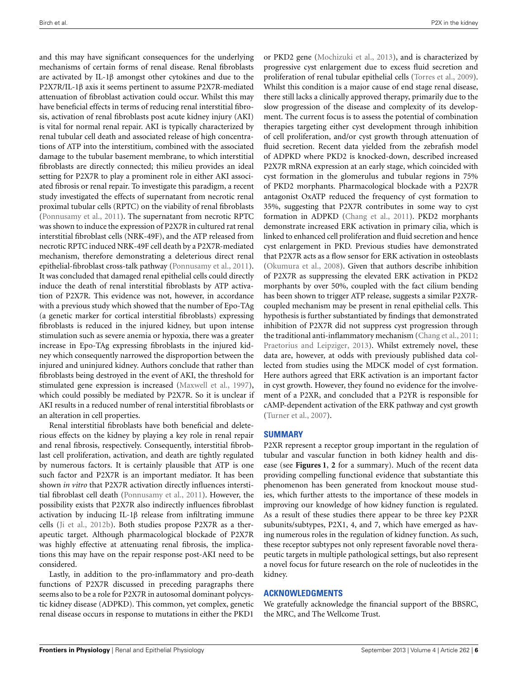<span id="page-6-29"></span><span id="page-6-28"></span><span id="page-6-26"></span><span id="page-6-23"></span><span id="page-6-10"></span><span id="page-6-7"></span><span id="page-6-6"></span><span id="page-6-0"></span>and this may have significant consequences for the underlying mechanisms of certain forms of renal disease. Renal fibroblasts are activated by IL-1β amongst other cytokines and due to the P2X7R/IL-1β axis it seems pertinent to assume P2X7R-mediated attenuation of fibroblast activation could occur. Whilst this may have beneficial effects in terms of reducing renal interstitial fibrosis, activation of renal fibroblasts post acute kidney injury (AKI) is vital for normal renal repair. AKI is typically characterized by renal tubular cell death and associated release of high concentrations of ATP into the interstitium, combined with the associated damage to the tubular basement membrane, to which interstitial fibroblasts are directly connected; this milieu provides an ideal setting for P2X7R to play a prominent role in either AKI associated fibrosis or renal repair. To investigate this paradigm, a recent study investigated the effects of supernatant from necrotic renal proximal tubular cells (RPTC) on the viability of renal fibroblasts [\(Ponnusamy et al., 2011](#page-6-21)). The supernatant from necrotic RPTC was shown to induce the expression of P2X7R in cultured rat renal interstitial fibroblast cells (NRK-49F), and the ATP released from necrotic RPTC induced NRK-49F cell death by a P2X7R-mediated mechanism, therefore demonstrating a deleterious direct renal epithelial-fibroblast cross-talk pathway [\(Ponnusamy et al.](#page-6-21), [2011](#page-6-21)). It was concluded that damaged renal epithelial cells could directly induce the death of renal interstitial fibroblasts by ATP activation of P2X7R. This evidence was not, however, in accordance with a previous study which showed that the number of Epo-TAg (a genetic marker for cortical interstitial fibroblasts) expressing fibroblasts is reduced in the injured kidney, but upon intense stimulation such as severe anemia or hypoxia, there was a greater increase in Epo-TAg expressing fibroblasts in the injured kidney which consequently narrowed the disproportion between the injured and uninjured kidney. Authors conclude that rather than fibroblasts being destroyed in the event of AKI, the threshold for stimulated gene expression is increased [\(Maxwell et al., 1997](#page-6-36)), which could possibly be mediated by P2X7R. So it is unclear if AKI results in a reduced number of renal interstitial fibroblasts or an alteration in cell properties.

<span id="page-6-34"></span><span id="page-6-33"></span><span id="page-6-32"></span><span id="page-6-20"></span><span id="page-6-15"></span><span id="page-6-14"></span><span id="page-6-11"></span><span id="page-6-9"></span>Renal interstitial fibroblasts have both beneficial and deleterious effects on the kidney by playing a key role in renal repair and renal fibrosis, respectively. Consequently, interstitial fibroblast cell proliferation, activation, and death are tightly regulated by numerous factors. It is certainly plausible that ATP is one such factor and P2X7R is an important mediator. It has been shown *in vitro* that P2X7R activation directly influences interstitial fibroblast cell death [\(Ponnusamy et al., 2011](#page-6-21)). However, the possibility exists that P2X7R also indirectly influences fibroblast activation by inducing IL-1β release from infiltrating immune cells [\(Ji et al., 2012b\)](#page-6-22). Both studies propose P2X7R as a therapeutic target. Although pharmacological blockade of P2X7R was highly effective at attenuating renal fibrosis, the implications this may have on the repair response post-AKI need to be considered.

<span id="page-6-24"></span><span id="page-6-18"></span><span id="page-6-16"></span><span id="page-6-12"></span><span id="page-6-1"></span>Lastly, in addition to the pro-inflammatory and pro-death functions of P2X7R discussed in preceding paragraphs there seems also to be a role for P2X7R in autosomal dominant polycystic kidney disease (ADPKD). This common, yet complex, genetic renal disease occurs in response to mutations in either the PKD1

<span id="page-6-37"></span><span id="page-6-36"></span><span id="page-6-27"></span><span id="page-6-25"></span><span id="page-6-8"></span><span id="page-6-4"></span>or PKD2 gene [\(Mochizuki et al., 2013](#page-6-37)), and is characterized by progressive cyst enlargement due to excess fluid secretion and proliferation of renal tubular epithelial cells [\(Torres et al., 2009\)](#page-7-15). Whilst this condition is a major cause of end stage renal disease, there still lacks a clinically approved therapy, primarily due to the slow progression of the disease and complexity of its development. The current focus is to assess the potential of combination therapies targeting either cyst development through inhibition of cell proliferation, and/or cyst growth through attenuation of fluid secretion. Recent data yielded from the zebrafish model of ADPKD where PKD2 is knocked-down, described increased P2X7R mRNA expression at an early stage, which coincided with cyst formation in the glomerulus and tubular regions in 75% of PKD2 morphants. Pharmacological blockade with a P2X7R antagonist OxATP reduced the frequency of cyst formation to 35%, suggesting that P2X7R contributes in some way to cyst formation in ADPKD [\(Chang et al., 2011\)](#page-6-20). PKD2 morphants demonstrate increased ERK activation in primary cilia, which is linked to enhanced cell proliferation and fluid secretion and hence cyst enlargement in PKD. Previous studies have demonstrated that P2X7R acts as a flow sensor for ERK activation in osteoblasts [\(Okumura et al., 2008\)](#page-6-38). Given that authors describe inhibition of P2X7R as suppressing the elevated ERK activation in PKD2 morphants by over 50%, coupled with the fact cilium bending has been shown to trigger ATP release, suggests a similar P2X7Rcoupled mechanism may be present in renal epithelial cells. This hypothesis is further substantiated by findings that demonstrated inhibition of P2X7R did not suppress cyst progression through the traditional anti-inflammatory mechanism [\(Chang et al.](#page-6-20), [2011](#page-6-20); [Praetorius and Leipziger](#page-6-39), [2013\)](#page-6-39). Whilst extremely novel, these data are, however, at odds with previously published data collected from studies using the MDCK model of cyst formation. Here authors agreed that ERK activation is an important factor in cyst growth. However, they found no evidence for the involvement of a P2XR, and concluded that a P2YR is responsible for cAMP-dependent activation of the ERK pathway and cyst growth [\(Turner et al., 2007\)](#page-7-16).

#### <span id="page-6-38"></span><span id="page-6-35"></span><span id="page-6-31"></span><span id="page-6-17"></span><span id="page-6-13"></span><span id="page-6-5"></span><span id="page-6-2"></span>**SUMMARY**

<span id="page-6-22"></span><span id="page-6-21"></span><span id="page-6-3"></span>P2XR represent a receptor group important in the regulation of tubular and vascular function in both kidney health and disease (see **[Figures 1](#page-1-0)**, **[2](#page-2-0)** for a summary). Much of the recent data providing compelling functional evidence that substantiate this phenomenon has been generated from knockout mouse studies, which further attests to the importance of these models in improving our knowledge of how kidney function is regulated. As a result of these studies there appear to be three key P2XR subunits/subtypes, P2X1, 4, and 7, which have emerged as having numerous roles in the regulation of kidney function. As such, these receptor subtypes not only represent favorable novel therapeutic targets in multiple pathological settings, but also represent a novel focus for future research on the role of nucleotides in the kidney.

#### <span id="page-6-39"></span><span id="page-6-30"></span><span id="page-6-19"></span>**ACKNOWLEDGMENTS**

We gratefully acknowledge the financial support of the BBSRC, the MRC, and The Wellcome Trust.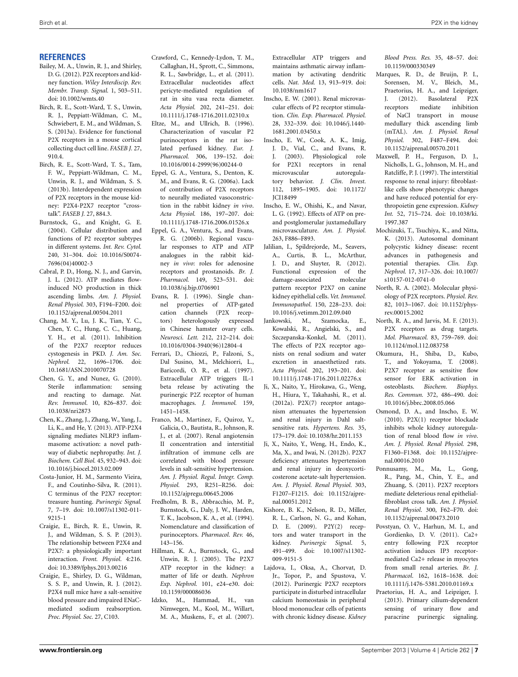#### **REFERENCES**

- <span id="page-7-8"></span>Bailey, M. A., Unwin, R. J., and Shirley, D. G. (2012). P2X receptors and kidney function. *Wiley Interdiscip. Rev. Membr. Transp. Signal.* 1, 503–511. doi: 10.1002/wmts.40
- Birch, R. E., Scott-Ward, T. S., Unwin, R. J., Peppiatt-Wildman, C. M., Schwiebert, E. M., and Wildman, S. S. (2013a). Evidence for functional P2X receptors in a mouse cortical collecting duct cell line. *FASEB J.* 27, 910.4.
- <span id="page-7-9"></span>Birch, R. E., Scott-Ward, T. S., Tam, F. W., Peppiatt-Wildman, C. M., Unwin, R. J., and Wildman, S. S. (2013b). Interdependent expression of P2X receptors in the mouse kidney: P2X4-P2X7 receptor "crosstalk". *FASEB J.* 27, 884.3.
- <span id="page-7-11"></span>Burnstock, G., and Knight, G. E. (2004). Cellular distribution and functions of P2 receptor subtypes in different systems. *Int. Rev. Cytol.* 240, 31–304. doi: 10.1016/S0074- 7696(04)40002-3
- <span id="page-7-10"></span>Cabral, P. D., Hong, N. J., and Garvin, J. L. (2012). ATP mediates flowinduced NO production in thick ascending limbs. *Am. J. Physiol. Renal Physiol.* 303, F194–F200. doi: 10.1152/ajprenal.00504.2011
- Chang, M. Y., Lu, J. K., Tian, Y. C., Chen, Y. C., Hung, C. C., Huang, Y. H., et al. (2011). Inhibition of the P2X7 receptor reduces cystogenesis in PKD. *J. Am. Soc. Nephrol.* 22, 1696–1706. doi: 10.1681/ASN.2010070728
- <span id="page-7-13"></span>Chen, G. Y., and Nunez, G. (2010). Sterile inflammation: sensing and reacting to damage. *Nat. Rev. Immunol*. 10, 826–837. doi: 10.1038/nri2873
- Chen, K., Zhang, J., Zhang, W., Yang, J., Li, K., and He, Y. (2013). ATP-P2X4 signaling mediates NLRP3 inflammasome activation: a novel pathway of diabetic nephropathy. *Int. J. Biochem. Cell Biol.* 45, 932–943. doi: 10.1016/j.biocel.2013.02.009
- Costa-Junior, H. M., Sarmento Vieira, F., and Coutinho-Silva, R. (2011). C terminus of the P2X7 receptor: treasure hunting. *Purinergic Signal.* 7, 7–19. doi: 10.1007/s11302-011- 9215-1
- Craigie, E., Birch, R. E., Unwin, R. J., and Wildman, S. S. P. (2013). The relationship between P2X4 and P2X7: a physiologically important interaction. *Front. Physiol*. 4:216. doi: 10.3389/fphys.2013.00216
- Craigie, E., Shirley, D. G., Wildman, S. S. P., and Unwin, R. J. (2012). P2X4 null mice have a salt-sensitive blood pressure and impaired ENaCmediated sodium reabsorption. *Proc. Physiol. Soc.* 27, C103.
- <span id="page-7-15"></span>Crawford, C., Kennedy-Lydon, T. M., Callaghan, H., Sprott, C., Simmons, R. L., Sawbridge, L., et al. (2011). Extracellular nucleotides affect pericyte-mediated regulation of rat in situ vasa recta diameter. *Acta Physiol.* 202, 241–251. doi: 10.1111/j.1748-1716.2011.02310.x
- <span id="page-7-16"></span>Eltze, M., and Ullrich, B. (1996). Characterization of vascular P2 purinoceptors in the rat isolated perfused kidney. *Eur. J. Pharmacol.* 306, 139–152. doi: 10.1016/0014-2999(96)00244-0
- <span id="page-7-4"></span>Eppel, G. A., Ventura, S., Denton, K. M., and Evans, R. G. (2006a). Lack of contribution of P2X receptors to neurally mediated vasoconstriction in the rabbit kidney *in vivo*. *Acta Physiol.* 186, 197–207. doi: 10.1111/j.1748-1716.2006.01526.x
- <span id="page-7-2"></span>Eppel, G. A., Ventura, S., and Evans, R. G. (2006b). Regional vascular responses to ATP and ATP analogues in the rabbit kidney *in vivo*: roles for adenosine receptors and prostanoids. *Br. J. Pharmacol.* 149, 523–531. doi: 10.1038/sj.bjp.0706901
- <span id="page-7-1"></span>Evans, R. J. (1996). Single channel properties of ATP-gated cation channels (P2X receptors) heterologously expressed in Chinese hamster ovary cells. *Neurosci. Lett.* 212, 212–214. doi: 10.1016/0304-3940(96)12804-4
- <span id="page-7-3"></span>Ferrari, D., Chiozzi, P., Falzoni, S., Dal Susino, M., Melchiorri, L., Baricordi, O. R., et al. (1997). Extracellular ATP triggers IL-1 beta release by activating the purinergic P2Z receptor of human macrophages. *J. Immunol.* 159, 1451–1458.
- Franco, M., Martinez, F., Quiroz, Y., Galicia, O., Bautista, R., Johnson, R. J., et al. (2007). Renal angiotensin II concentration and interstitial infiltration of immune cells are correlated with blood pressure levels in salt-sensitive hypertension. *Am. J. Physiol. Regul. Integr. Comp. Physiol.* 293, R251–R256. doi: 10.1152/ajpregu.00645.2006
- Fredholm, B. B., Abbracchio, M. P., Burnstock, G., Daly, J. W., Harden, T. K., Jacobson, K. A., et al. (1994). Nomenclature and classification of purinoceptors. *Pharmacol. Rev.* 46, 143–156.
- Hillman, K. A., Burnstock, G., and Unwin, R. J. (2005). The P2X7 ATP receptor in the kidney: a matter of life or death. *Nephron Exp. Nephrol.* 101, e24–e30. doi: 10.1159/000086036
- Idzko, M., Hammad, H., van Nimwegen, M., Kool, M., Willart, M. A., Muskens, F., et al. (2007).

<span id="page-7-14"></span>Extracellular ATP triggers and maintains asthmatic airway inflammation by activating dendritic cells. *Nat. Med.* 13, 913–919. doi: 10.1038/nm1617

- Inscho, E. W. (2001). Renal microvascular effects of P2 receptor stimulation. *Clin. Exp. Pharmacol. Physiol.* 28, 332–339. doi: 10.1046/j.1440- 1681.2001.03450.x
- <span id="page-7-7"></span>Inscho, E. W., Cook, A. K., Imig, J. D., Vial, C., and Evans, R. J. (2003). Physiological role for P2X1 receptors in renal microvascular autoregulatory behavior. *J. Clin. Invest.* 112, 1895–1905. doi: 10.1172/ JCI18499
- <span id="page-7-0"></span>Inscho, E. W., Ohishi, K., and Navar, L. G. (1992). Effects of ATP on preand postglomerular juxtamedullary microvasculature. *Am. J. Physiol.* 263, F886–F893.
- <span id="page-7-6"></span>Jalilian, I., Spildrejorde, M., Seavers, A., Curtis, B. L., McArthur, J. D., and Sluyter, R. (2012). Functional expression of the damage-associated molecular pattern receptor P2X7 on canine kidney epithelial cells. *Vet. Immunol. Immunopathol*. 150, 228–233. doi:
- <span id="page-7-5"></span>10.1016/j.vetimm.2012.09.040<br>Jankowski, M., Szamocka, Szamocka, E., Kowalski, R., Angielski, S., and Szczepanska-Konkel, M. (2011). The effects of P2X receptor agonists on renal sodium and water excretion in anaesthetized rats. *Acta Physiol.* 202, 193–201. doi: 10.1111/j.1748-1716.2011.02276.x
- <span id="page-7-12"></span>Ji, X., Naito, Y., Hirokawa, G., Weng, H., Hiura, Y., Takahashi, R., et al. (2012a). P2X(7) receptor antagonism attenuates the hypertension and renal injury in Dahl saltsensitive rats. *Hypertens. Res.* 35, 173–179. doi: 10.1038/hr.2011.153
- Ji, X., Naito, Y., Weng, H., Endo, K., Ma, X., and Iwai, N. (2012b). P2X7 deficiency attenuates hypertension and renal injury in deoxycorticosterone acetate-salt hypertension. *Am. J. Physiol. Renal Physiol.* 303, F1207–F1215. doi: 10.1152/ajprenal.00051.2012
- Kishore, B. K., Nelson, R. D., Miller, R. L., Carlson, N. G., and Kohan, D. E. (2009). P2Y(2) receptors and water transport in the kidney. *Purinergic Signal*. 5, 491–499. doi: 10.1007/s11302- 009-9151-5
- Lajdova, I., Oksa, A., Chorvat, D. Jr., Topor, P., and Spustova, V. (2012). Purinergic P2X7 receptors participate in disturbed intracellular calcium homeostasis in peripheral blood mononuclear cells of patients with chronic kidney disease. *Kidney*

*Blood Press. Res.* 35, 48–57. doi: 10.1159/000330349

- Marques, R. D., de Bruijn, P. I., Sorensen, M. V., Bleich, M., Praetorius, H. A., and Leipziger, J. (2012). Basolateral P2X receptors mediate inhibition of NaCl transport in mouse medullary thick ascending limb (mTAL). *Am. J. Physiol. Renal Physiol.* 302, F487–F494. doi: 10.1152/ajprenal.00570.2011
- Maxwell, P. H., Ferguson, D. J., Nicholls, L. G., Johnson, M. H., and Ratcliffe, P. J. (1997). The interstitial response to renal injury: fibroblastlike cells show phenotypic changes and have reduced potential for erythropoietin gene expression. *Kidney Int.* 52, 715–724. doi: 10.1038/ki. 1997.387
- Mochizuki, T., Tsuchiya, K., and Nitta, K. (2013). Autosomal dominant polycystic kidney disease: recent advances in pathogenesis and potential therapies. *Clin. Exp. Nephrol.* 17, 317–326. doi: 10.1007/ s10157-012-0741-0
- North, R. A. (2002). Molecular physiology of P2X receptors. *Physiol. Rev.* 82, 1013–1067. doi: 10.1152/physrev.00015.2002
- North, R. A., and Jarvis, M. F. (2013). P2X receptors as drug targets. *Mol. Pharmacol.* 83, 759–769. doi: 10.1124/mol.112.083758
- Okumura, H., Shiba, D., Kubo, T., and Yokoyama, T. (2008). P2X7 receptor as sensitive flow sensor for ERK activation in osteoblasts. *Biochem. Biophys. Res. Commun.* 372, 486–490. doi: 10.1016/j.bbrc.2008.05.066
- Osmond, D. A., and Inscho, E. W. (2010). P2X(1) receptor blockade inhibits whole kidney autoregulation of renal blood flow *in vivo*. *Am. J. Physiol. Renal Physiol.* 298, F1360–F1368. doi: 10.1152/ajprenal.00016.2010
- Ponnusamy, M., Ma, L., Gong, R., Pang, M., Chin, Y. E., and Zhuang, S. (2011). P2X7 receptors mediate deleterious renal epithelialfibroblast cross talk. *Am. J. Physiol. Renal Physiol*. 300, F62–F70. doi: 10.1152/ajprenal.00473.2010
- Povstyan, O. V., Harhun, M. I., and Gordienko, D. V. (2011). Ca2+ entry following P2X receptor activation induces IP3 receptormediated Ca2+ release in myocytes from small renal arteries. *Br. J. Pharmacol*. 162, 1618–1638. doi: 10.1111/j.1476-5381.2010.01169.x
- Praetorius, H. A., and Leipziger, J. (2013). Primary cilium-dependent sensing of urinary flow and paracrine purinergic signaling.